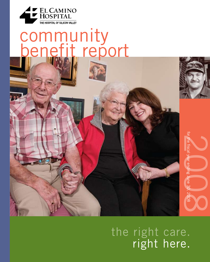

# community benefit report

the right care. right here.

the fiscal year ending June 3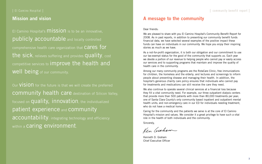### | El Camino Hospital |

### **Mission and vision**

El Camino Hospital's **MISSION** is to be an innovative, publicly accountable and locally controlled comprehensive health care organization that Cares for the sick, relieves suffering and provides quality, cost competitive services to improve the health and Well being of our community.

Our VISION for the future is that we will create the preferred community health care destination of Silicon Valley, focused on **quality, innovation**, the individualized patient experience and community accountability: integrating technology and efficiency within a **Caring environment**.

### **A message to the community**

### Dear friends:

We are pleased to share with you El Camino Hospital's Community Benefit Report for 2008. As in past reports, in addition to presenting our community benefit funds financial data, we have selected several examples of the positive impact these funds can have on individuals in our community. We hope you enjoy their inspiring stories as much as we have.

We also continue to operate several clinical services at a financial loss because they fill a vital community need. For example, our three outpatient dialysis centers that provide more than 500 patients with more than 80,000 treatments per year; one of Santa Clara County's only community based inpatient and outpatient mental health units; and non-emergency care in our ED for individuals needing treatment, who do not have a medical home.

As a not-for-profit organization, it is both our obligation and our commitment to use our tax-exempt status for the good of the community that supports us. Each year we devote a portion of our revenue to helping people who cannot pay or easily access our services and to supporting programs that maintain and improve the quality of health care in the community.

Among our many community programs are the RotaCare Clinic; free immunizations for children, the homeless and the elderly; and lectures and screenings to inform people about preventing disease and managing their health. In addition, the hospital's generous charity care policy ensures that individuals who cannot pay for treatments and medications can still receive the care they need.

Caring for the community and the patients we serve is at the core of El Camino Hospital's mission and values. We consider it a great privilege to have such a vital role in the health of both individuals and the community.

Sincerely,

Ken Grahow

Kenneth D. Graham Chief Executive Officer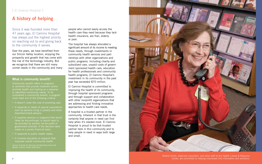### **A history of helping**

### **What is community benefit?**

Community benefit refers to programs or activities that provide treatment and/or promote health and healing as a response to identified community needs. To be considered a community benefit, a program must meet one of the following criteria:

- It doesn't cover the cost of providing care.
- It responds to needs of special populations such as persons living in poverty and other disenfranchised persons.
- It supplies services or programs that would likely be discontinued, or would need to be provided by another not-for-profit or government provider, if the decision were made on a purely financial basis.
- It responds to public health needs.
- It involves education or research that improves overall community health.

*Source: A Guide for Planning and Reporting Community* 

Since it was founded more than 47 years ago, El Camino Hospital has always put the highest priority on reaching out to and giving back to the community it serves.

Over the years, we have benefited from our Silicon Valley location, enjoying the prosperity and growth that has come with the rise of the technology industry. But we recognize that there are still many unmet needs in the community and many

**4 5** Center, are committed to helping individuals find information and solutions.Robbie Smith, eldercare consultant, and other staff at the Health Library & Resource

people who cannot easily access the health care they need because they lack health insurance, are frail, elderly or poor.

The hospital has always allocated a significant amount of its income to meeting these needs, through investments in community health services and partnerships with other organizations and public programs. Including charity and subsidized care, unpaid costs of government sponsored health care, education for health professionals and community health programs, El Camino Hospital's investment in its community in the past year has exceeded \$70 million.

El Camino Hospital is committed to improving the health of its community, through hospital sponsored programs and through support and collaboration with other nonprofit organizations that are addressing and finding innovative approaches to health care needs.

A hospital is a trusted partner in the community. Inherent in that trust is the certainty that anyone in need can find help when it's needed most. El Camino Hospital is proud to be that trusted partner here in this community and to help people in need in ways both large and small.



### | El Camino Hospital |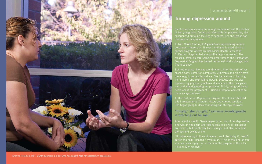

Kristina Peterson, MFT, *(right)* counsels a client who has sought help for postpartum depression.

### | community benefit report |

### **Turning depression around**

Sarah is a busy scientist for a large corporation and the mother of two young boys. During and after both her pregnancies, she experienced profound feelings of sadness. She thought it was that way for most women.

In fact, Sarah *(not in photograph)* was experiencing serious postpartum depression. It wasn't until she learned about a special program offered by Behavioral Health Services at El Camino Hospital that she got the help she needed. The focused, attentive care Sarah received through the Postpartum Depression Program has helped her to feel totally changed and find a balance.

But not long ago, life was very different. After the birth of her second baby, Sarah felt completely vulnerable and didn't have the energy to get anything done. She had visions of harming her children and even killing herself. Because she was also experiencing physical symptoms, doctors and other caregivers had difficulty diagnosing her problem. Finally, her good friend heard about the program at El Camino Hospital and called to make an appointment.

At the Postpartum Depression Program, the clinical staff did a full assessment of Sarah's history and current condition. She began going to daily counseling and therapy sessions.

"Finally," she thought, "someone knowledgeable is watching out for me."

After about a month, Sarah began to pull out of her depression. She was driving again and feeling less panicky. It took about six months, but Sarah now feels stronger and able to handle the ups and downs of life.

"It makes me cry to think of where I would be today if I hadn't gotten the help I needed," says Sarah. "This is the kind of care you can never repay. I'm so thankful the program is there for me and other women."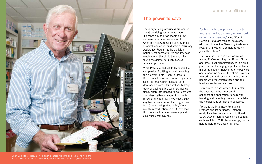

**8 9** clinic save more than \$100,000 a year on the medications it gives to patients. John Cardoza, a RotaCare volunteer, donated his time and talents to help the

### **The power to save**

These days, many Americans are worried about the rising cost of medication. It's especially true for people on low incomes or without insurance. So, when the RotaCare Clinic at El Camino Hospital learned it could start a Pharmacy Assistance Program to help eligible patients get access to free and low-cost medications, the clinic thought it had found the answer to a very serious financial problem.

What RotaCare had yet to learn was the complexity of setting up and managing the program. Enter John Cardoza, a RotaCare volunteer and retired high tech sales and marketing manager. John developed a computer database to keep track of each eligible patient's medications, when they needed to be re-ordered and when patients needed to apply to renew their eligibility. Now, nearly 160 eligible patients are on the program and RotaCare is saving about \$10,000 a month in medication costs. (They know this because John's software application also tracks cost savings.)

"John made the program function and enabled it to grow, so we could serve more people," says Tifanni Harwick, RotaCare medical assistant, who coordinates the Pharmacy Assistance Program. "I wouldn't be able to do my job without him."

The RotaCare Clinic is a collaboration among El Camino Hospital, Rotary Clubs and other local organizations. With a small paid staff and a large group of volunteers, including doctors, nurses, other caregivers and support personnel, the clinic provides free primary and specialty health care to people with the greatest need and the least access to medical care.

John comes in once a week to maintain the database. When requested, he enhances the application to help with tracking and reporting. He also helps label the medications as they are delivered.

"Without the Pharmacy Assistance Program and its database, RotaCare would have had to spend an additional \$100,000 or more a year on medication," explains John. "With these savings, they're able to help more people in need."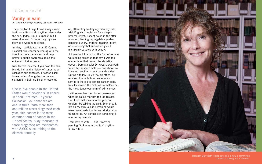## **Vanity in vain Beth Camino Hospital |<br>
<b>Vanity in Vain**<br> *By Mary Beth Hislop, reporter, Los Altos Town Crier*

There are two things I have always loved to do — write and do anything else under the sun. Today, I'm a journalist, but I never dreamed I'd be writing my own story as a warning to others.

In May, I participated in an El Camino Hospital skin cancer screening with the idea that the experience could help promote public awareness about the epidemic of skin cancer.

Risk factors increase if you have fair skin, blonde hair and a history of sunburns or excessive sun exposure. I flashed back to memories of long days in the sun, slathered in Bain de Soleil or coconut

oil, attempting to defy my naturally pale, Irish/English complexion for a deeply bronzed effect. I spent hours in the after noon sun tending my vegetable garden, hanging laundry, knitting, reading, intent on developing that sun-kissed glow I mistakenly equated with beauty.

**10 11** convert to staying out of the sun.Reporter Mary Beth Hislop says she is now a committed

It turned out that out of the four of us who were being screened that day, I was the one in three that proved the statistics correct. Dermatologist Dr. Greg Morganroth found two suspect moles — one above my knee and another on my back shoulder. During a follow up visit to his office, he removed the mole from my knee and sent it to the lab to test for cancer cells. Results showed the mole was a melanoma, the most dangerous form of skin cancer.

I still remember the phone conversation when he called me with the lab results. Had I left that mole another year, we wouldn't be talking, he said. Scarier still, left on my own, a skin screening would never have made it onto my priority list of things to do. An annual skin screening is now on my calendar.

I still love to write — but I won't be penning "A Raisin in the Sun" anytime in my future.



One in five people in the United States would develop skin cancer in their lifetimes; if you're Caucasian, your chances are one in three. With more than one million cases diagnosed each year, skin cancer is the most common form of cancer in the United States. Sixty thousand of those diagnosed are melanomas, with 8,000 succumbing to the disease annually.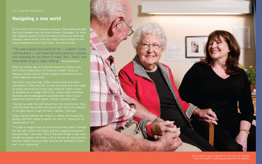# | El Camino Hospital |<br>**Navigating a new world**

As the former CEO of a software company, Elaine Bailey thought she could navigate even the most complex challenges. So, when she suddenly needed to help her elderly mother and father get through a severe health crisis and make major changes to their living arrangements and future plans, she was stunned.

"This was a whole new world for me — a world I knew nothing about — and these decisions were too complex and confusing for my father to make. But, I didn't even know where to go to begin looking," she remembers.

When her mother was in El Camino Hospital's Cardiac Care Unit, Elaine heard about the hospital's Health Library & Resource Center and its Family Caregiver Assistance service called eldercare consulting.

The library has more than 3,000 current books and other publications, DVDs and CDs, as well as access to a wide range of online resources on clinical and consumer health issues, all available at no charge. Best of all, it has a staff of medical librarians and knowledgeable volunteers who listen to your needs and respond with expert, friendly, hands-on help.

> from the hospital in getting assistance for her parents. Elaine Bailey *(right)* is grateful for the help she received

"During my visits, the staff would hear my concerns and, then, carefully select the perfect resource or point me in the direction of the right person to get the help I needed," she says.

Today, Elaine's parents are living in a nearby continuing care facility, and she's happy to report her mom is "coming off my 'worried-about' list."

"It's hard to imagine how our family would have made it through the last year without the library and the caregiving assistance they provided," she adds. "One of the best things is that, even though my parents don't have a lot of money, we could get the help we needed because these services are available to every one in our community."

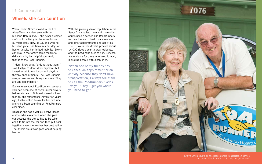### **Wheels she can count on**

When Evelyn Smith moved to the Los Altos-Mountain View area with her husband Bob in 1956, she never dreamed she'd still be living in the same house 52 years later. Now, at 93, and with her husband gone, she treasures her days at home. Despite her limited mobility, Evelyn can stay in the family home thanks to daily visits by her helpful son. And, thanks to the RoadRunners.

"I don't know what I'd do without them," says Evelyn. "I don't drive anymore, but I need to get to my doctor and physical therapy appointments. The RoadRunners always take me and bring me home. They are very dependable."

Evelyn knew about RoadRunners because Bob had been one of its volunteer drivers before his death. Bob really loved volunteering, she remembers. Almost ten years ago, Evelyn called to ask for her first ride, and she's been counting on RoadRunners ever since.

**14 15** and drivers like John Canata to help her get around.Evelyn Smith counts on the RoadRunners transportation service

Because she has a walker, Evelyn needs a little extra assistance when she goes out because the device has to be taken apart to fit into the car and then put back together when she reaches her destination. The drivers are always good about helping her out.

With the growing senior population in the Santa Clara Valley, more and more older adults need a service like RoadRunners as their lifeline to health care services and other appointments and activities. The 56 volunteer drivers provide about 14,000 rides a year to area residents, and the need continues to rise. Services are available for those who need it most, including people with disabilities.

"When one of my friends has to cancel an appointment or an activity because they don't have transportation, I always tell them to call the RoadRunners," adds Evelyn. "They'll get you where you need to go."

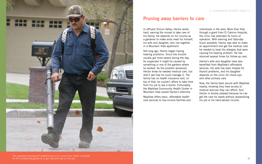

**16 17** for this hardworking gardener to get help and stay on the job. The expanded evening and weekend hours at a local clinic made it possible

### **Pruning away barriers to care**

In affluent Silicon Valley, Hector works hard, earning the money to take care of his family. He depends on his income as a gardener to make ends meet for himself, his wife and daughter, who live together in a Mountain View apartment.

Not long ago, Hector began having hearing problems. Since the trouble usually got more severe during the day, he suspected it might be caused by something in one of the gardens where he worked. As the problem worsened, Hector knew he needed medical care, but didn't see how he could manage it. The family has no health insurance and, on top of that, he couldn't afford to take time from his job to see a doctor. Fortunately, the MayView Community Health Center in Mountain View solved Hector's dilemma.

MayView offers basic, affordable health care services to low-income families and

individuals in the area. More than that, through a grant from El Camino Hospital, the clinic has extended its hours of operation. With evening and Saturday hours available, Hector was able to make an appointment and get the medical care he needed to treat the allergies that were causing his hearing problem. He has returned several times for follow-up care.

Hector's wife and daughter have also benefited from MayView's affordable services. His wife has been treated for thyroid problems, and his daughter depends on the clinic for check-ups and other primary care.

Now, the family feels secure with MayView nearby, knowing they have access to medical services they can afford. And Hector is doubly pleased because he can get the care he needs without jeopardizing his job or his hard-earned income.

### community benefit report |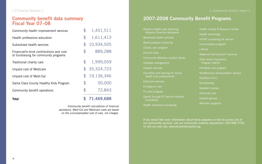### | El Camino Hospital |

| <b>Total</b>                                                                      |                | 71,469,688   |
|-----------------------------------------------------------------------------------|----------------|--------------|
| Community benefit operations                                                      | $\mathfrak{P}$ | 72,843       |
| Santa Clara County Healthy Kids Program                                           | $\mathcal{P}$  | 50,000       |
| Unpaid cost of Medi-Cal                                                           | $\mathcal{P}$  | 19,136,346   |
| Unpaid cost of Medicare                                                           |                | \$35,324,723 |
| Traditional charity care                                                          | $\mathbb{S}$   | 1,999,059    |
| Financial/in-kind contributions and cost<br>of fundraising for community programs | $\mathcal{F}$  | 889,288      |
| Subsidized health services                                                        | $\mathcal{F}$  | 10,934,505   |
| Health professions education                                                      | $\mathcal{P}$  | 1,611,413    |
| Community health improvement services                                             | $\mathcal{P}$  | 1,451,511    |

*Community benefit calculations of financial assistance, Medi-Cal and Medicare costs are based on the uncompensated cost of care, not charges.*

### **Community benefit data summary Fiscal Year 07–08**

| Advance health care planning/                   | <b>Healt</b> |
|-------------------------------------------------|--------------|
| Advance Directive assistance                    | <b>Healt</b> |
| <b>Behavioral health services</b>               | <b>HICA</b>  |
| Blood pressure screening                        | Imm          |
| Charity care program                            | Lifeli       |
| <b>Clinical trials</b>                          | <b>Mate</b>  |
| <b>Community Wellness Lecture Series</b>        | Older        |
| Diabetes management                             | Pro          |
| Dialysis services                               | Pallia       |
| Education and training for future               | Road         |
| health care professionals                       | Rota         |
| <b>Eldercare services</b>                       | Scho         |
| <b>Emergency care</b>                           | Spea         |
| Flu shot program                                | Suba         |
| Grants through El Camino Hospital<br>Foundation | Supp         |
| Health insurance counseling                     | Wellr        |

### **2007-2008 Community Benefit Programs**

**If you would like more information about these programs or how to access any of our community services, call our community relations department, 650-988-7703, or visit our web site, www.elcaminohospital.org.**

### | community benefit report |

- n Library & Resource Center
- n screenings
- P counseling for seniors
- Inization program
- le i
- mal Connections™ services
- Adult Transitions gram (OATS)
- itive care program
- Runners transportation service
- Care Clinic
- arships
- ers bureau
- cute care
- ort groups
- ess programs